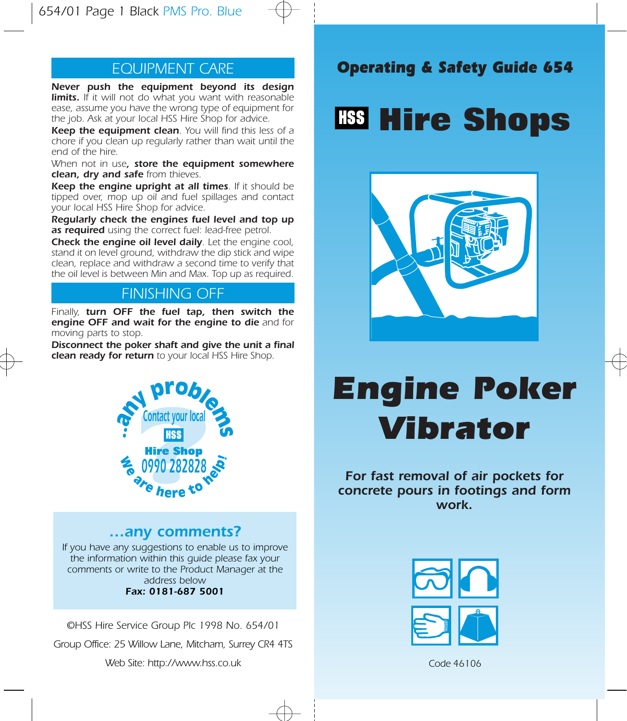## EQUIPMENT CARE

Never push the equipment beyond its design limits. If it will not do what you want with reasonable ease, assume you have the wrong type of equipment for the job. Ask at your local HSS Hire Shop for advice.

Keep the equipment clean. You will find this less of a chore if you clean up regularly rather than wait until the end of the hire.

When not in use, store the equipment somewhere clean, dry and safe from thieves.

Keep the engine upright at all times. If it should be tipped over, mop up oil and fuel spillages and contact your local HSS Hire Shop for advice.

Regularly check the engines fuel level and top up as required using the correct fuel: lead-free petrol.

**Check the engine oil level daily.** Let the engine cool, stand it on level ground, withdraw the dip stick and wipe clean, replace and withdraw a second time to verify that the oil level is between Min and Max. Top up as required.

## FINISHING OFF

Finally, turn OFF the fuel tap, then switch the engine OFF and wait for the engine to die and for moving parts to stop.

Disconnect the poker shaft and give the unit a final clean ready for return to your local HSS Hire Shop.



### …any comments?

If you have any suggestions to enable us to improve the information within this guide please fax your comments or write to the Product Manager at the address below Fax: 0181-687 5001

©HSS Hire Service Group Plc 1998 No. 654/01

Group Office: 25 Willow Lane, Mitcham, Surrey CR4 4TS

Web Site: http://www.hss.co.uk

## Operating & Safety Guide 654

## **Hire Shops**



# Engine Poker Vibrator

For fast removal of air pockets for concrete pours in footings and form work.



Code 46106